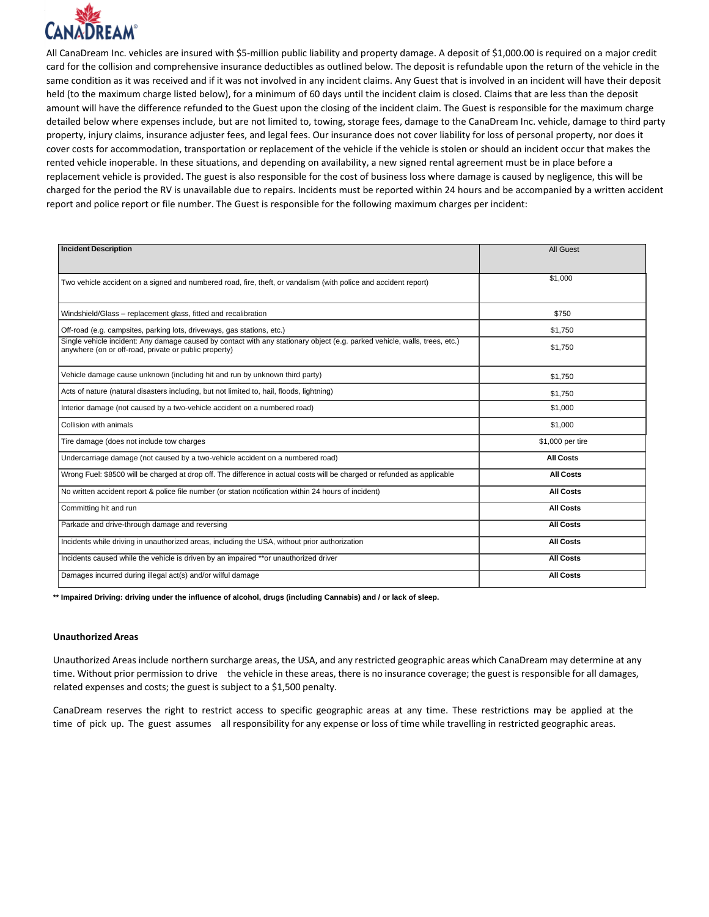

All CanaDream Inc. vehicles are insured with \$5-million public liability and property damage. A deposit of \$1,000.00 is required on a major credit card for the collision and comprehensive insurance deductibles as outlined below. The deposit is refundable upon the return of the vehicle in the same condition as it was received and if it was not involved in any incident claims. Any Guest that is involved in an incident will have their deposit held (to the maximum charge listed below), for a minimum of 60 days until the incident claim is closed. Claims that are less than the deposit amount will have the difference refunded to the Guest upon the closing of the incident claim. The Guest is responsible for the maximum charge detailed below where expenses include, but are not limited to, towing, storage fees, damage to the CanaDream Inc. vehicle, damage to third party property, injury claims, insurance adjuster fees, and legal fees. Our insurance does not cover liability for loss of personal property, nor does it cover costs for accommodation, transportation or replacement of the vehicle if the vehicle is stolen or should an incident occur that makes the rented vehicle inoperable. In these situations, and depending on availability, a new signed rental agreement must be in place before a replacement vehicle is provided. The guest is also responsible for the cost of business loss where damage is caused by negligence, this will be charged for the period the RV is unavailable due to repairs. Incidents must be reported within 24 hours and be accompanied by a written accident report and police report or file number. The Guest is responsible for the following maximum charges per incident:

| <b>Incident Description</b>                                                                                                                                                         | <b>All Guest</b> |
|-------------------------------------------------------------------------------------------------------------------------------------------------------------------------------------|------------------|
| Two vehicle accident on a signed and numbered road, fire, theft, or vandalism (with police and accident report)                                                                     | \$1,000          |
| Windshield/Glass - replacement glass, fitted and recalibration                                                                                                                      | \$750            |
| Off-road (e.g. campsites, parking lots, driveways, gas stations, etc.)                                                                                                              | \$1.750          |
| Single vehicle incident: Any damage caused by contact with any stationary object (e.g. parked vehicle, walls, trees, etc.)<br>anywhere (on or off-road, private or public property) | \$1,750          |
| Vehicle damage cause unknown (including hit and run by unknown third party)                                                                                                         | \$1.750          |
| Acts of nature (natural disasters including, but not limited to, hail, floods, lightning)                                                                                           | \$1,750          |
| Interior damage (not caused by a two-vehicle accident on a numbered road)                                                                                                           | \$1,000          |
| Collision with animals                                                                                                                                                              | \$1,000          |
| Tire damage (does not include tow charges                                                                                                                                           | \$1,000 per tire |
| Undercarriage damage (not caused by a two-vehicle accident on a numbered road)                                                                                                      | <b>All Costs</b> |
| Wrong Fuel: \$8500 will be charged at drop off. The difference in actual costs will be charged or refunded as applicable                                                            | <b>All Costs</b> |
| No written accident report & police file number (or station notification within 24 hours of incident)                                                                               | <b>All Costs</b> |
| Committing hit and run                                                                                                                                                              | <b>All Costs</b> |
| Parkade and drive-through damage and reversing                                                                                                                                      | <b>All Costs</b> |
| Incidents while driving in unauthorized areas, including the USA, without prior authorization                                                                                       | <b>All Costs</b> |
| Incidents caused while the vehicle is driven by an impaired **or unauthorized driver                                                                                                | <b>All Costs</b> |
| Damages incurred during illegal act(s) and/or wilful damage                                                                                                                         | <b>All Costs</b> |

**\*\* Impaired Driving: driving under the influence of alcohol, drugs (including Cannabis) and / or lack of sleep.**

#### **Unauthorized Areas**

Unauthorized Areas include northern surcharge areas, the USA, and any restricted geographic areas which CanaDream may determine at any time. Without prior permission to drive the vehicle in these areas, there is no insurance coverage; the guest is responsible for all damages, related expenses and costs; the guest is subject to a \$1,500 penalty.

CanaDream reserves the right to restrict access to specific geographic areas at any time. These restrictions may be applied at the time of pick up. The guest assumes all responsibility for any expense or loss of time while travelling in restricted geographic areas.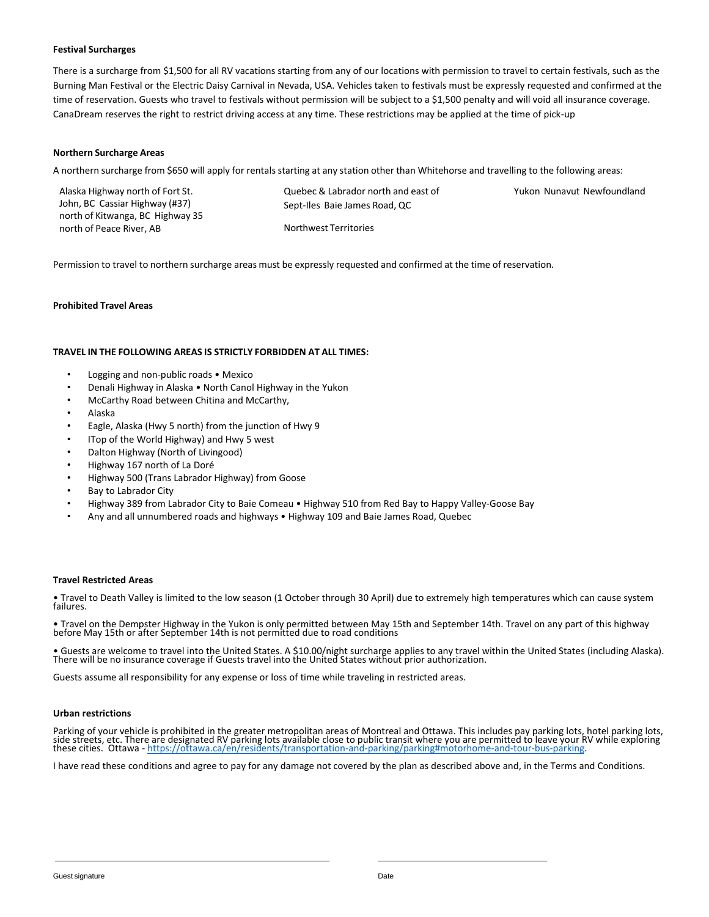### **Festival Surcharges**

There is a surcharge from \$1,500 for all RV vacations starting from any of our locations with permission to travel to certain festivals, such as the Burning Man Festival or the Electric Daisy Carnival in Nevada, USA. Vehicles taken to festivals must be expressly requested and confirmed at the time of reservation. Guests who travel to festivals without permission will be subject to a \$1,500 penalty and will void all insurance coverage. CanaDream reserves the right to restrict driving access at any time. These restrictions may be applied at the time of pick-up

### **Northern Surcharge Areas**

A northern surcharge from \$650 will apply for rentals starting at any station other than Whitehorse and travelling to the following areas:

| Alaska Highway north of Fort St. | Quebec & Labrador north and east of | Yukon Nunavut Newfoundland |
|----------------------------------|-------------------------------------|----------------------------|
| John, BC Cassiar Highway (#37)   | Sept-Iles Baie James Road, QC       |                            |
| north of Kitwanga, BC Highway 35 |                                     |                            |
| north of Peace River, AB         | Northwest Territories               |                            |

Permission to travel to northern surcharge areas must be expressly requested and confirmed at the time of reservation.

### **Prohibited Travel Areas**

### **TRAVEL IN THE FOLLOWING AREAS IS STRICTLY FORBIDDEN AT ALL TIMES:**

- Logging and non-public roads Mexico
- Denali Highway in Alaska North Canol Highway in the Yukon
- McCarthy Road between Chitina and McCarthy,
- Alaska
- Eagle, Alaska (Hwy 5 north) from the junction of Hwy 9
- ITop of the World Highway) and Hwy 5 west
- Dalton Highway (North of Livingood)
- Highway 167 north of La Doré
- Highway 500 (Trans Labrador Highway) from Goose
- Bay to Labrador City
- Highway 389 from Labrador City to Baie Comeau Highway 510 from Red Bay to Happy Valley-Goose Bay
- Any and all unnumbered roads and highways Highway 109 and Baie James Road, Quebec

#### **Travel Restricted Areas**

• Travel to Death Valley is limited to the low season (1 October through 30 April) due to extremely high temperatures which can cause system failures.

• Travel on the Dempster Highway in the Yukon is only permitted between May 15th and September 14th. Travel on any part of this highway before May 15th or after September 14th is not permitted due to road conditions

• Guests are welcome to travel into the United States. A \$10.00/night surcharge applies to any travel within the United States (including Alaska).<br>There will be no insurance coverage if Guests travel into the United States

Guests assume all responsibility for any expense or loss of time while traveling in restricted areas.

### **Urban restrictions**

Parking of your vehicle is prohibited in the greater metropolitan areas of Montreal and Ottawa. This includes pay parking lots, hotel parking lots, side střeetś, etc. There are designated RV parking lots available close to public transit where you are permitted to leave your RV while exploring<br>these cities. Ottawa - <u>https://ottawa.ca/en/residents/transportation-and-</u>

I have read these conditions and agree to pay for any damage not covered by the plan as described above and, in the Terms and Conditions.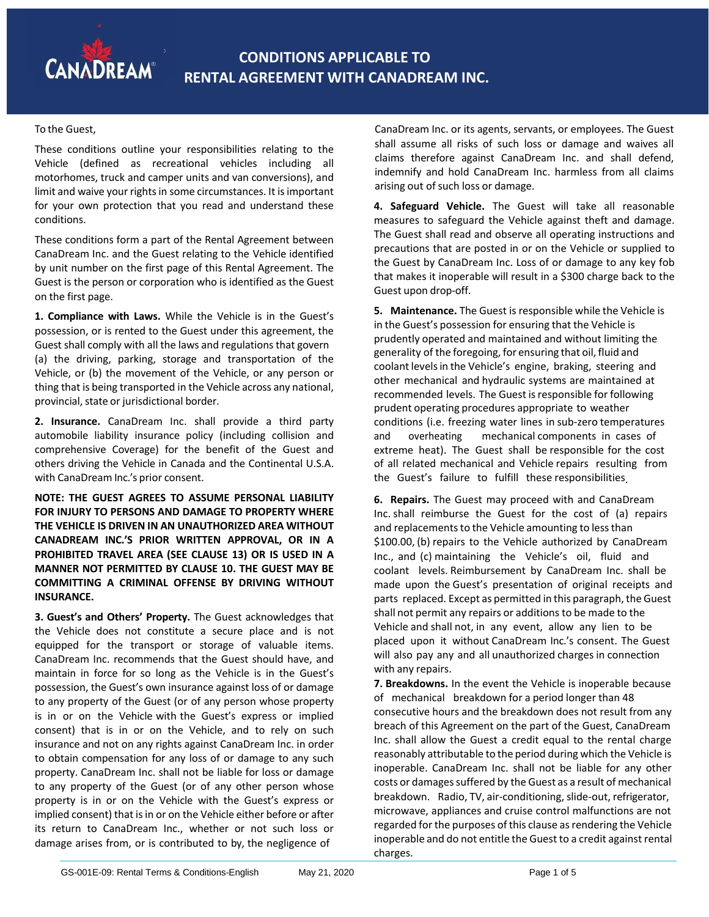To the Guest,

These conditions outline your responsibilities relating to the Vehicle (defined as recreational vehicles including all motorhomes, truck and camper units and van conversions), and limit and waive your rights in some circumstances. It is important for your own protection that you read and understand these conditions.

These conditions form a part of the Rental Agreement between CanaDream Inc. and the Guest relating to the Vehicle identified by unit number on the first page of this Rental Agreement. The Guest is the person or corporation who is identified as the Guest on the first page.

**1. Compliance with Laws.** While the Vehicle is in the Guest's possession, or is rented to the Guest under this agreement, the Guest shall comply with all the laws and regulationsthat govern (a) the driving, parking, storage and transportation of the Vehicle, or (b) the movement of the Vehicle, or any person or thing that is being transported in the Vehicle across any national, provincial, state or jurisdictional border.

**2. Insurance.** CanaDream Inc. shall provide a third party automobile liability insurance policy (including collision and comprehensive Coverage) for the benefit of the Guest and others driving the Vehicle in Canada and the Continental U.S.A. with CanaDream Inc.'s prior consent.

**NOTE: THE GUEST AGREES TO ASSUME PERSONAL LIABILITY FOR INJURY TO PERSONS AND DAMAGE TO PROPERTY WHERE THE VEHICLE IS DRIVEN IN AN UNAUTHORIZED AREA WITHOUT CANADREAM INC.'S PRIOR WRITTEN APPROVAL, OR IN A PROHIBITED TRAVEL AREA (SEE CLAUSE 13) OR IS USED IN A MANNER NOT PERMITTED BY CLAUSE 10. THE GUEST MAY BE COMMITTING A CRIMINAL OFFENSE BY DRIVING WITHOUT INSURANCE.**

**3. Guest's and Others' Property.** The Guest acknowledges that the Vehicle does not constitute a secure place and is not equipped for the transport or storage of valuable items. CanaDream Inc. recommends that the Guest should have, and maintain in force for so long as the Vehicle is in the Guest's possession, the Guest's own insurance against loss of or damage to any property of the Guest (or of any person whose property is in or on the Vehicle with the Guest's express or implied consent) that is in or on the Vehicle, and to rely on such insurance and not on any rights against CanaDream Inc. in order to obtain compensation for any loss of or damage to any such property. CanaDream Inc. shall not be liable for loss or damage to any property of the Guest (or of any other person whose property is in or on the Vehicle with the Guest's express or implied consent) that is in or on the Vehicle either before or after its return to CanaDream Inc., whether or not such loss or damage arises from, or is contributed to by, the negligence of

CanaDream Inc. or its agents, servants, or employees. The Guest shall assume all risks of such loss or damage and waives all claims therefore against CanaDream Inc. and shall defend, indemnify and hold CanaDream Inc. harmless from all claims arising out of such loss or damage.

**4. Safeguard Vehicle.** The Guest will take all reasonable measures to safeguard the Vehicle against theft and damage. The Guest shall read and observe all operating instructions and precautions that are posted in or on the Vehicle or supplied to the Guest by CanaDream Inc. Loss of or damage to any key fob that makes it inoperable will result in a \$300 charge back to the Guest upon drop-off.

**5. Maintenance.** The Guest is responsible while the Vehicle is in the Guest's possession for ensuring that the Vehicle is prudently operated and maintained and without limiting the generality of the foregoing, for ensuring that oil,fluid and coolant levels in the Vehicle's engine, braking, steering and other mechanical and hydraulic systems are maintained at recommended levels. The Guest is responsible for following prudent operating procedures appropriate to weather conditions (i.e. freezing water lines in sub-zero temperatures and overheating mechanical components in cases of extreme heat). The Guest shall be responsible for the cost of all related mechanical and Vehicle repairs resulting from the Guest's failure to fulfill these responsibilities.

**6. Repairs.** The Guest may proceed with and CanaDream Inc. shall reimburse the Guest for the cost of (a) repairs and replacements to the Vehicle amounting to less than \$100.00, (b) repairs to the Vehicle authorized by CanaDream Inc., and (c) maintaining the Vehicle's oil, fluid and coolant levels. Reimbursement by CanaDream Inc. shall be made upon the Guest's presentation of original receipts and parts replaced. Except as permitted in this paragraph, the Guest shall not permit any repairs or additions to be made to the Vehicle and shall not, in any event, allow any lien to be placed upon it without CanaDream Inc.'s consent. The Guest will also pay any and all unauthorized charges in connection with any repairs.

**7. Breakdowns.** In the event the Vehicle is inoperable because of mechanical breakdown for a period longer than 48 consecutive hours and the breakdown does not result from any breach of this Agreement on the part of the Guest, CanaDream Inc. shall allow the Guest a credit equal to the rental charge reasonably attributable to the period during which the Vehicle is inoperable. CanaDream Inc. shall not be liable for any other costs or damages suffered by the Guest as a result of mechanical breakdown. Radio, TV, air-conditioning, slide-out, refrigerator, microwave, appliances and cruise control malfunctions are not regarded for the purposes of this clause as rendering the Vehicle inoperable and do not entitle the Guest to a credit against rental charges.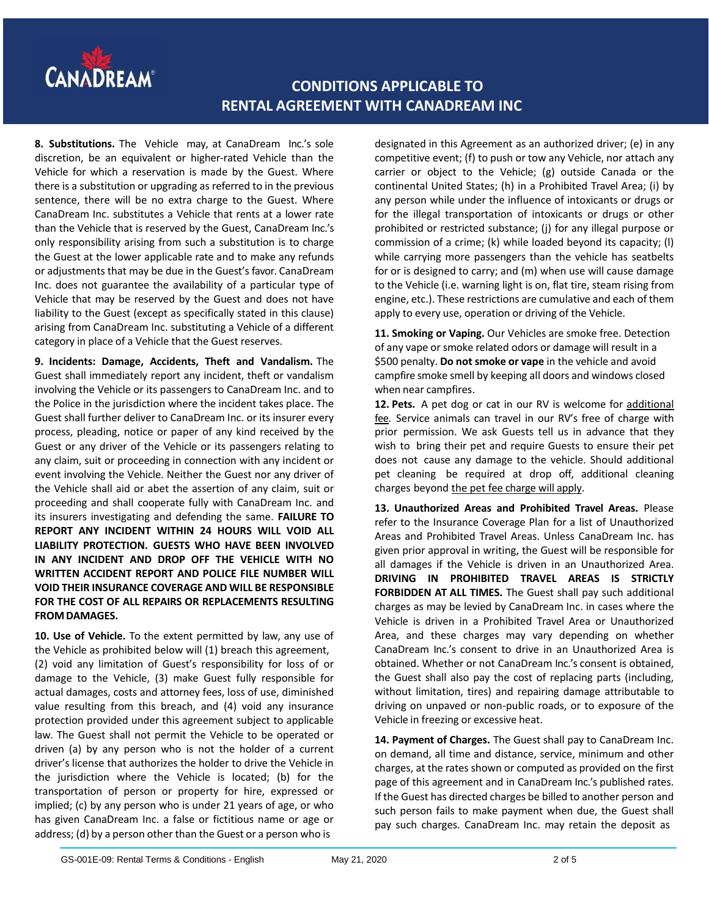

**8. Substitutions.** The Vehicle may, at CanaDream Inc.'s sole discretion, be an equivalent or higher-rated Vehicle than the Vehicle for which a reservation is made by the Guest. Where there is a substitution or upgrading as referred to in the previous sentence, there will be no extra charge to the Guest. Where CanaDream Inc. substitutes a Vehicle that rents at a lower rate than the Vehicle that is reserved by the Guest, CanaDream Inc.'s only responsibility arising from such a substitution is to charge the Guest at the lower applicable rate and to make any refunds or adjustments that may be due in the Guest's favor. CanaDream Inc. does not guarantee the availability of a particular type of Vehicle that may be reserved by the Guest and does not have liability to the Guest (except as specifically stated in this clause) arising from CanaDream Inc. substituting a Vehicle of a different category in place of a Vehicle that the Guest reserves.

**9. Incidents: Damage, Accidents, Theft and Vandalism.** The Guest shall immediately report any incident, theft or vandalism involving the Vehicle or its passengers to CanaDream Inc. and to the Police in the jurisdiction where the incident takes place. The Guest shall further deliver to CanaDream Inc. or its insurer every process, pleading, notice or paper of any kind received by the Guest or any driver of the Vehicle or its passengers relating to any claim, suit or proceeding in connection with any incident or event involving the Vehicle. Neither the Guest nor any driver of the Vehicle shall aid or abet the assertion of any claim, suit or proceeding and shall cooperate fully with CanaDream Inc. and its insurers investigating and defending the same. **FAILURE TO REPORT ANY INCIDENT WITHIN 24 HOURS WILL VOID ALL LIABILITY PROTECTION. GUESTS WHO HAVE BEEN INVOLVED IN ANY INCIDENT AND DROP OFF THE VEHICLE WITH NO WRITTEN ACCIDENT REPORT AND POLICE FILE NUMBER WILL VOID THEIR INSURANCE COVERAGE AND WILL BE RESPONSIBLE FOR THE COST OF ALL REPAIRS OR REPLACEMENTS RESULTING FROM DAMAGES.** 

**10. Use of Vehicle.** To the extent permitted by law, any use of the Vehicle as prohibited below will (1) breach this agreement, (2) void any limitation of Guest's responsibility for loss of or damage to the Vehicle, (3) make Guest fully responsible for actual damages, costs and attorney fees, loss of use, diminished value resulting from this breach, and (4) void any insurance protection provided under this agreement subject to applicable law. The Guest shall not permit the Vehicle to be operated or driven (a) by any person who is not the holder of a current driver's license that authorizes the holder to drive the Vehicle in the jurisdiction where the Vehicle is located; (b) for the transportation of person or property for hire, expressed or implied; (c) by any person who is under 21 years of age, or who has given CanaDream Inc. a false or fictitious name or age or address; (d) by a person other than the Guest or a person who is

designated in this Agreement as an authorized driver; (e) in any competitive event; (f) to push or tow any Vehicle, nor attach any carrier or object to the Vehicle; (g) outside Canada or the continental United States; (h) in a Prohibited Travel Area; (i) by any person while under the influence of intoxicants or drugs or for the illegal transportation of intoxicants or drugs or other prohibited or restricted substance; (j) for any illegal purpose or commission of a crime; (k) while loaded beyond its capacity; (l) while carrying more passengers than the vehicle has seatbelts for or is designed to carry; and (m) when use will cause damage to the Vehicle (i.e. warning light is on, flat tire, steam rising from engine, etc.). These restrictions are cumulative and each of them apply to every use, operation or driving of the Vehicle.

**11. Smoking or Vaping.** Our Vehicles are smoke free. Detection of any vape or smoke related odors or damage will result in a \$500 penalty. **Do not smoke or vape** in the vehicle and avoid campfire smoke smell by keeping all doors and windows closed when near campfires.

**12. Pets.** A pet dog or cat in our RV is welcome for additional fee. Service animals can travel in our RV's free of charge with prior permission. We ask Guests tell us in advance that they wish to bring their pet and require Guests to ensure their pet does not cause any damage to the vehicle. Should additional pet cleaning be required at drop off, additional cleaning charges beyond the pet fee charge will apply.

**13. Unauthorized Areas and Prohibited Travel Areas.** Please refer to the Insurance Coverage Plan for a list of Unauthorized Areas and Prohibited Travel Areas. Unless CanaDream Inc. has given prior approval in writing, the Guest will be responsible for all damages if the Vehicle is driven in an Unauthorized Area. **DRIVING IN PROHIBITED TRAVEL AREAS IS STRICTLY FORBIDDEN AT ALL TIMES.** The Guest shall pay such additional charges as may be levied by CanaDream Inc. in cases where the Vehicle is driven in a Prohibited Travel Area or Unauthorized Area, and these charges may vary depending on whether CanaDream Inc.'s consent to drive in an Unauthorized Area is obtained. Whether or not CanaDream Inc.'s consent is obtained, the Guest shall also pay the cost of replacing parts (including, without limitation, tires) and repairing damage attributable to driving on unpaved or non-public roads, or to exposure of the Vehicle in freezing or excessive heat.

**14. Payment of Charges.** The Guest shall pay to CanaDream Inc. on demand, all time and distance, service, minimum and other charges, at the rates shown or computed as provided on the first page of this agreement and in CanaDream Inc.'s published rates. If the Guest has directed charges be billed to another person and such person fails to make payment when due, the Guest shall pay such charges. CanaDream Inc. may retain the deposit as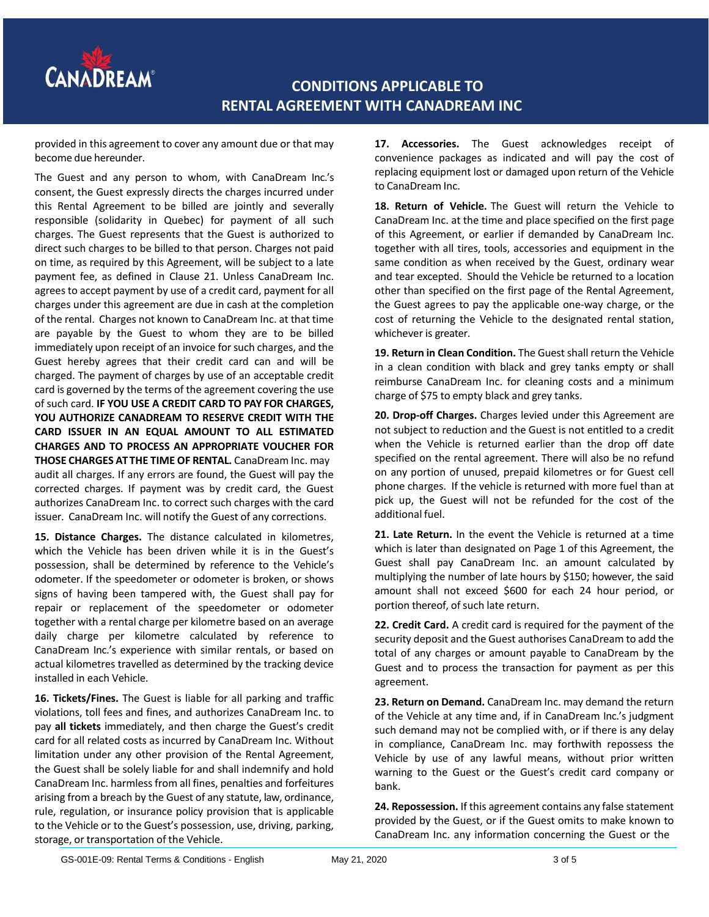

provided in this agreement to cover any amount due or that may become due hereunder.

The Guest and any person to whom, with CanaDream Inc.'s consent, the Guest expressly directs the charges incurred under this Rental Agreement to be billed are jointly and severally responsible (solidarity in Quebec) for payment of all such charges. The Guest represents that the Guest is authorized to direct such charges to be billed to that person. Charges not paid on time, as required by this Agreement, will be subject to a late payment fee, as defined in Clause 21. Unless CanaDream Inc. agrees to accept payment by use of a credit card, payment for all charges under this agreement are due in cash at the completion of the rental. Charges not known to CanaDream Inc. at that time are payable by the Guest to whom they are to be billed immediately upon receipt of an invoice for such charges, and the Guest hereby agrees that their credit card can and will be charged. The payment of charges by use of an acceptable credit card is governed by the terms of the agreement covering the use of such card. **IF YOU USE A CREDIT CARD TO PAY FOR CHARGES, YOU AUTHORIZE CANADREAM TO RESERVE CREDIT WITH THE CARD ISSUER IN AN EQUAL AMOUNT TO ALL ESTIMATED CHARGES AND TO PROCESS AN APPROPRIATE VOUCHER FOR THOSE CHARGES AT THE TIME OF RENTAL.** CanaDream Inc. may audit all charges. If any errors are found, the Guest will pay the corrected charges. If payment was by credit card, the Guest authorizes CanaDream Inc. to correct such charges with the card issuer. CanaDream Inc. will notify the Guest of any corrections.

**15. Distance Charges.** The distance calculated in kilometres, which the Vehicle has been driven while it is in the Guest's possession, shall be determined by reference to the Vehicle's odometer. If the speedometer or odometer is broken, or shows signs of having been tampered with, the Guest shall pay for repair or replacement of the speedometer or odometer together with a rental charge per kilometre based on an average daily charge per kilometre calculated by reference to CanaDream Inc.'s experience with similar rentals, or based on actual kilometres travelled as determined by the tracking device installed in each Vehicle.

**16. Tickets/Fines.** The Guest is liable for all parking and traffic violations, toll fees and fines, and authorizes CanaDream Inc. to pay **all tickets** immediately, and then charge the Guest's credit card for all related costs as incurred by CanaDream Inc. Without limitation under any other provision of the Rental Agreement, the Guest shall be solely liable for and shall indemnify and hold CanaDream Inc. harmless from all fines, penalties and forfeitures arising from a breach by the Guest of any statute, law, ordinance, rule, regulation, or insurance policy provision that is applicable to the Vehicle or to the Guest's possession, use, driving, parking, storage, or transportation of the Vehicle.

**17. Accessories.** The Guest acknowledges receipt of convenience packages as indicated and will pay the cost of replacing equipment lost or damaged upon return of the Vehicle to CanaDream Inc.

**18. Return of Vehicle.** The Guest will return the Vehicle to CanaDream Inc. at the time and place specified on the first page of this Agreement, or earlier if demanded by CanaDream Inc. together with all tires, tools, accessories and equipment in the same condition as when received by the Guest, ordinary wear and tear excepted. Should the Vehicle be returned to a location other than specified on the first page of the Rental Agreement, the Guest agrees to pay the applicable one-way charge, or the cost of returning the Vehicle to the designated rental station, whichever is greater.

**19. Return in Clean Condition.** The Guest shall return the Vehicle in a clean condition with black and grey tanks empty or shall reimburse CanaDream Inc. for cleaning costs and a minimum charge of \$75 to empty black and grey tanks.

**20. Drop-off Charges.** Charges levied under this Agreement are not subject to reduction and the Guest is not entitled to a credit when the Vehicle is returned earlier than the drop off date specified on the rental agreement. There will also be no refund on any portion of unused, prepaid kilometres or for Guest cell phone charges. If the vehicle is returned with more fuel than at pick up, the Guest will not be refunded for the cost of the additional fuel.

**21. Late Return.** In the event the Vehicle is returned at a time which is later than designated on Page 1 of this Agreement, the Guest shall pay CanaDream Inc. an amount calculated by multiplying the number of late hours by \$150; however, the said amount shall not exceed \$600 for each 24 hour period, or portion thereof, of such late return.

**22. Credit Card.** A credit card is required for the payment of the security deposit and the Guest authorises CanaDream to add the total of any charges or amount payable to CanaDream by the Guest and to process the transaction for payment as per this agreement.

**23. Return on Demand.** CanaDream Inc. may demand the return of the Vehicle at any time and, if in CanaDream Inc.'s judgment such demand may not be complied with, or if there is any delay in compliance, CanaDream Inc. may forthwith repossess the Vehicle by use of any lawful means, without prior written warning to the Guest or the Guest's credit card company or bank.

**24. Repossession.** If this agreement contains any false statement provided by the Guest, or if the Guest omits to make known to CanaDream Inc. any information concerning the Guest or the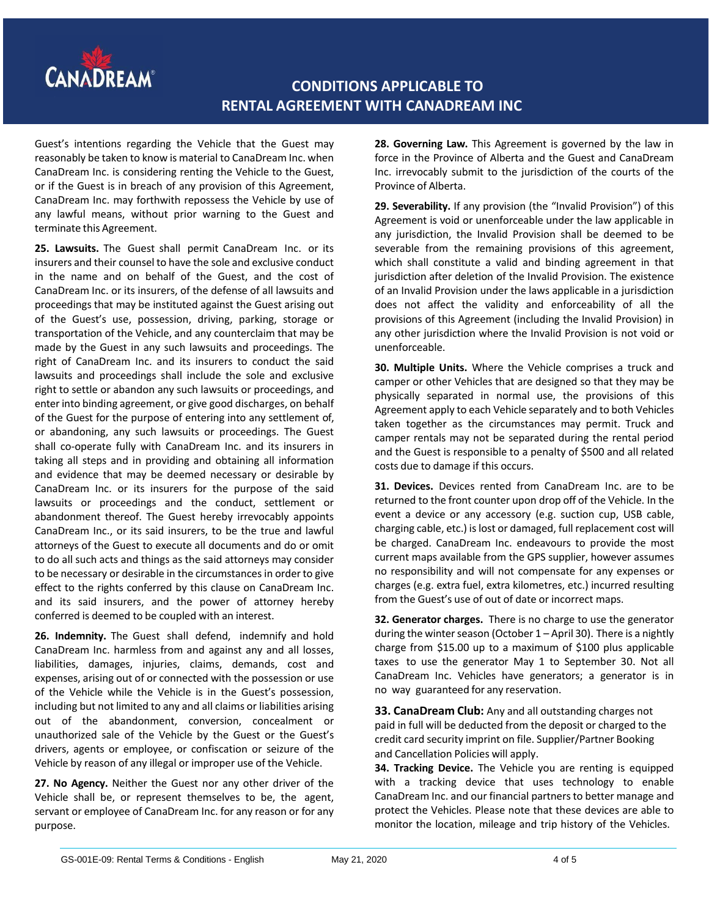

Guest's intentions regarding the Vehicle that the Guest may reasonably be taken to know is material to CanaDream Inc. when CanaDream Inc. is considering renting the Vehicle to the Guest, or if the Guest is in breach of any provision of this Agreement, CanaDream Inc. may forthwith repossess the Vehicle by use of any lawful means, without prior warning to the Guest and terminate this Agreement.

**25. Lawsuits.** The Guest shall permit CanaDream Inc. or its insurers and their counsel to have the sole and exclusive conduct in the name and on behalf of the Guest, and the cost of CanaDream Inc. or its insurers, of the defense of all lawsuits and proceedings that may be instituted against the Guest arising out of the Guest's use, possession, driving, parking, storage or transportation of the Vehicle, and any counterclaim that may be made by the Guest in any such lawsuits and proceedings. The right of CanaDream Inc. and its insurers to conduct the said lawsuits and proceedings shall include the sole and exclusive right to settle or abandon any such lawsuits or proceedings, and enter into binding agreement, or give good discharges, on behalf of the Guest for the purpose of entering into any settlement of, or abandoning, any such lawsuits or proceedings. The Guest shall co-operate fully with CanaDream Inc. and its insurers in taking all steps and in providing and obtaining all information and evidence that may be deemed necessary or desirable by CanaDream Inc. or its insurers for the purpose of the said lawsuits or proceedings and the conduct, settlement or abandonment thereof. The Guest hereby irrevocably appoints CanaDream Inc., or its said insurers, to be the true and lawful attorneys of the Guest to execute all documents and do or omit to do all such acts and things as the said attorneys may consider to be necessary or desirable in the circumstances in order to give effect to the rights conferred by this clause on CanaDream Inc. and its said insurers, and the power of attorney hereby conferred is deemed to be coupled with an interest.

**26. Indemnity.** The Guest shall defend, indemnify and hold CanaDream Inc. harmless from and against any and all losses, liabilities, damages, injuries, claims, demands, cost and expenses, arising out of or connected with the possession or use of the Vehicle while the Vehicle is in the Guest's possession, including but not limited to any and all claims or liabilities arising out of the abandonment, conversion, concealment or unauthorized sale of the Vehicle by the Guest or the Guest's drivers, agents or employee, or confiscation or seizure of the Vehicle by reason of any illegal or improper use of the Vehicle.

**27. No Agency.** Neither the Guest nor any other driver of the Vehicle shall be, or represent themselves to be, the agent, servant or employee of CanaDream Inc. for any reason or for any purpose.

**28. Governing Law.** This Agreement is governed by the law in force in the Province of Alberta and the Guest and CanaDream Inc. irrevocably submit to the jurisdiction of the courts of the Province of Alberta.

**29. Severability.** If any provision (the "Invalid Provision") of this Agreement is void or unenforceable under the law applicable in any jurisdiction, the Invalid Provision shall be deemed to be severable from the remaining provisions of this agreement, which shall constitute a valid and binding agreement in that jurisdiction after deletion of the Invalid Provision. The existence of an Invalid Provision under the laws applicable in a jurisdiction does not affect the validity and enforceability of all the provisions of this Agreement (including the Invalid Provision) in any other jurisdiction where the Invalid Provision is not void or unenforceable.

**30. Multiple Units.** Where the Vehicle comprises a truck and camper or other Vehicles that are designed so that they may be physically separated in normal use, the provisions of this Agreement apply to each Vehicle separately and to both Vehicles taken together as the circumstances may permit. Truck and camper rentals may not be separated during the rental period and the Guest is responsible to a penalty of \$500 and all related costs due to damage if this occurs.

**31. Devices.** Devices rented from CanaDream Inc. are to be returned to the front counter upon drop off of the Vehicle. In the event a device or any accessory (e.g. suction cup, USB cable, charging cable, etc.) is lost or damaged, full replacement cost will be charged. CanaDream Inc. endeavours to provide the most current maps available from the GPS supplier, however assumes no responsibility and will not compensate for any expenses or charges (e.g. extra fuel, extra kilometres, etc.) incurred resulting from the Guest's use of out of date or incorrect maps.

**32. Generator charges.** There is no charge to use the generator during the winter season (October  $1 -$  April 30). There is a nightly charge from \$15.00 up to a maximum of \$100 plus applicable taxes to use the generator May 1 to September 30. Not all CanaDream Inc. Vehicles have generators; a generator is in no way guaranteed for any reservation.

**33. CanaDream Club:** Any and all outstanding charges not paid in full will be deducted from the deposit or charged to the credit card security imprint on file. Supplier/Partner Booking and Cancellation Policies will apply.

**34. Tracking Device.** The Vehicle you are renting is equipped with a tracking device that uses technology to enable CanaDream Inc. and our financial partnersto better manage and protect the Vehicles. Please note that these devices are able to monitor the location, mileage and trip history of the Vehicles.